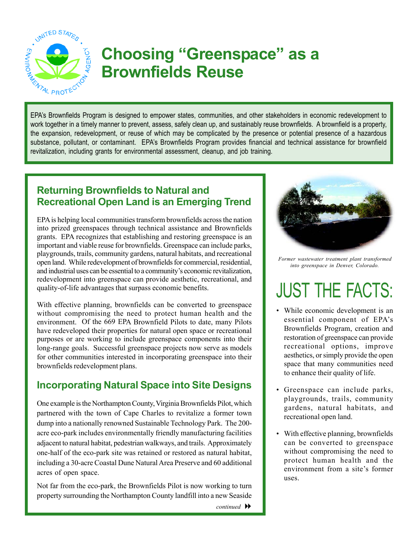

# **Choosing "Greenspace" as a Brownfields Reuse**  EPA's Brownfields Program is designed to empower states, communities, and other stakeholders in economic redevelopment to

work together in a timely manner to prevent, assess, safely clean up, and sustainably reuse brownfields. A brownfield is a property, the expansion, redevelopment, or reuse of which may be complicated by the presence or potential presence of a hazardous substance, pollutant, or contaminant. EPA's Brownfields Program provides financial and technical assistance for brownfield revitalization, including grants for environmental assessment, cleanup, and job training.

#### **Returning Brownfields to Natural and Recreational Open Land is an Emerging Trend**

EPA is helping local communities transform brownfields across the nation into prized greenspaces through technical assistance and Brownfields grants. EPA recognizes that establishing and restoring greenspace is an important and viable reuse for brownfields. Greenspace can include parks, playgrounds, trails, community gardens, natural habitats, and recreational open land. While redevelopment of brownfields for commercial, residential, and industrial uses can be essential to a community's economic revitalization, redevelopment into greenspace can provide aesthetic, recreational, and quality-of-life advantages that surpass economic benefits.

With effective planning, brownfields can be converted to greenspace without compromising the need to protect human health and the environment. Of the 669 EPA Brownfield Pilots to date, many Pilots have redeveloped their properties for natural open space or recreational purposes or are working to include greenspace components into their long-range goals. Successful greenspace projects now serve as models for other communities interested in incorporating greenspace into their brownfields redevelopment plans.

## **Incorporating Natural Space into Site Designs**

One example is the Northampton County, Virginia Brownfields Pilot, which partnered with the town of Cape Charles to revitalize a former town dump into a nationally renowned Sustainable Technology Park. The 200 acre eco-park includes environmentally friendly manufacturing facilities adjacent to natural habitat, pedestrian walkways, and trails. Approximately one-half of the eco-park site was retained or restored as natural habitat, including a 30-acre Coastal Dune Natural Area Preserve and 60 additional acres of open space.

Not far from the eco-park, the Brownfields Pilot is now working to turn property surrounding the Northampton County landfill into a new Seaside



*Former wastewater treatment plant transformed into greenspace in Denver, Colorado.* 

# JUST THE FACTS:

- While economic development is an essential component of EPA's Brownfields Program, creation and restoration of greenspace can provide recreational options, improve aesthetics, or simply provide the open space that many communities need to enhance their quality of life.
- Greenspace can include parks, playgrounds, trails, community gardens, natural habitats, and recreational open land.
- With effective planning, brownfields can be converted to greenspace without compromising the need to protect human health and the environment from a site's former uses.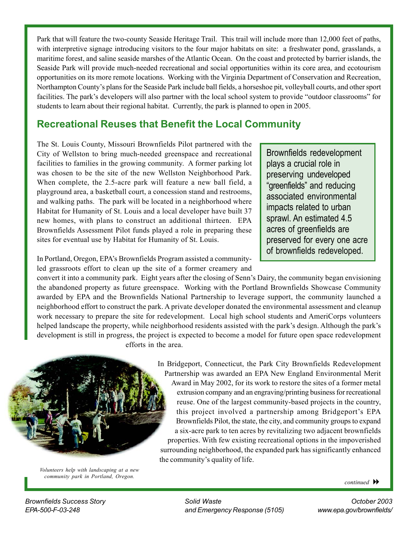Park that will feature the two-county Seaside Heritage Trail. This trail will include more than 12,000 feet of paths, with interpretive signage introducing visitors to the four major habitats on site: a freshwater pond, grasslands, a maritime forest, and saline seaside marshes of the Atlantic Ocean. On the coast and protected by barrier islands, the Seaside Park will provide much-needed recreational and social opportunities within its core area, and ecotourism opportunities on its more remote locations. Working with the Virginia Department of Conservation and Recreation, Northampton County's plans for the Seaside Park include ball fields, a horseshoe pit, volleyball courts, and other sport facilities. The park's developers will also partner with the local school system to provide "outdoor classrooms" for students to learn about their regional habitat. Currently, the park is planned to open in 2005.

# **Recreational Reuses that Benefit the Local Community**

The St. Louis County, Missouri Brownfields Pilot partnered with the City of Wellston to bring much-needed greenspace and recreational facilities to families in the growing community. A former parking lot was chosen to be the site of the new Wellston Neighborhood Park. When complete, the 2.5-acre park will feature a new ball field, a playground area, a basketball court, a concession stand and restrooms, and walking paths. The park will be located in a neighborhood where Habitat for Humanity of St. Louis and a local developer have built 37 new homes, with plans to construct an additional thirteen. EPA Brownfields Assessment Pilot funds played a role in preparing these sites for eventual use by Habitat for Humanity of St. Louis.

Brownfields redevelopment plays a crucial role in preserving undeveloped "greenfields" and reducing associated environmental impacts related to urban sprawl. An estimated 4.5 acres of greenfields are preserved for every one acre of brownfields redeveloped.

In Portland, Oregon, EPA's Brownfields Program assisted a communityled grassroots effort to clean up the site of a former creamery and

convert it into a community park. Eight years after the closing of Senn's Dairy, the community began envisioning the abandoned property as future greenspace. Working with the Portland Brownfields Showcase Community awarded by EPA and the Brownfields National Partnership to leverage support, the community launched a neighborhood effort to construct the park. A private developer donated the environmental assessment and cleanup work necessary to prepare the site for redevelopment. Local high school students and AmeriCorps volunteers helped landscape the property, while neighborhood residents assisted with the park's design. Although the park's development is still in progress, the project is expected to become a model for future open space redevelopment efforts in the area.



*Volunteers help with landscaping at a new community park in Portland, Oregon.* 

In Bridgeport, Connecticut, the Park City Brownfields Redevelopment Partnership was awarded an EPA New England Environmental Merit Award in May 2002, for its work to restore the sites of a former metal extrusion company and an engraving/printing business for recreational reuse. One of the largest community-based projects in the country, this project involved a partnership among Bridgeport's EPA Brownfields Pilot, the state, the city, and community groups to expand a six-acre park to ten acres by revitalizing two adjacent brownfields properties. With few existing recreational options in the impoverished surrounding neighborhood, the expanded park has significantly enhanced the community's quality of life.

*continued* 

*Brownfields Success Story Solid Waste October 2003 EPA-500-F-03-248 and Emergency Response (5105) www.epa.gov/brownfields/*